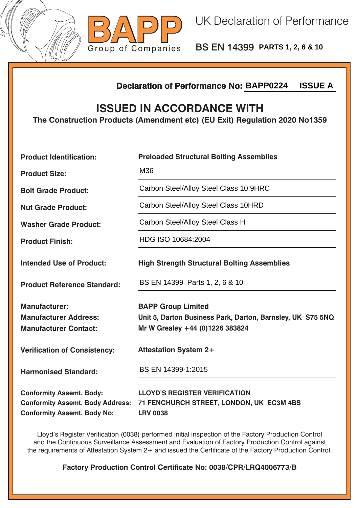



BS EN 14399 **PARTS 1, 2, 6 & 10**

## **Declaration of Performance No:**

## **ISSUED IN ACCORDANCE WITH**

|                                                                                                                  | <b>ISSUE A</b><br><b>Declaration of Performance No: BAPP0224</b>                                                           |  |  |
|------------------------------------------------------------------------------------------------------------------|----------------------------------------------------------------------------------------------------------------------------|--|--|
| <b>ISSUED IN ACCORDANCE WITH</b><br>The Construction Products (Amendment etc) (EU Exit) Regulation 2020 No1359   |                                                                                                                            |  |  |
| <b>Product Identification:</b>                                                                                   | <b>Preloaded Structural Bolting Assemblies</b>                                                                             |  |  |
| <b>Product Size:</b>                                                                                             | M36                                                                                                                        |  |  |
| <b>Bolt Grade Product:</b>                                                                                       | Carbon Steel/Alloy Steel Class 10.9HRC                                                                                     |  |  |
| <b>Nut Grade Product:</b>                                                                                        | Carbon Steel/Alloy Steel Class 10HRD                                                                                       |  |  |
| <b>Washer Grade Product:</b>                                                                                     | Carbon Steel/Alloy Steel Class H                                                                                           |  |  |
| <b>Product Finish:</b>                                                                                           | HDG ISO 10684:2004                                                                                                         |  |  |
| <b>Intended Use of Product:</b>                                                                                  | <b>High Strength Structural Bolting Assemblies</b>                                                                         |  |  |
| <b>Product Reference Standard:</b>                                                                               | BS EN 14399 Parts 1, 2, 6 & 10                                                                                             |  |  |
| <b>Manufacturer:</b><br><b>Manufacturer Address:</b><br><b>Manufacturer Contact:</b>                             | <b>BAPP Group Limited</b><br>Unit 5, Darton Business Park, Darton, Barnsley, UK S75 5NQ<br>Mr W Grealey +44 (0)1226 383824 |  |  |
| <b>Verification of Consistency:</b>                                                                              | <b>Attestation System 2+</b>                                                                                               |  |  |
| <b>Harmonised Standard:</b>                                                                                      | BS EN 14399-1:2015                                                                                                         |  |  |
| <b>Conformity Assemt. Body:</b><br><b>Conformity Assemt. Body Address:</b><br><b>Conformity Assemt. Body No:</b> | <b>LLOYD'S REGISTER VERIFICATION</b><br>71 FENCHURCH STREET, LONDON, UK EC3M 4BS<br><b>LRV 0038</b>                        |  |  |

Lloyd's Register Verification (0038) performed initial inspection of the Factory Production Control and the Continuous Surveillance Assessment and Evaluation of Factory Production Control against the requirements of Attestation System 2+ and issued the Certificate of the Factory Production Control.

**Factory Production Control Certificate No: 0038/CPR/LRQ4006773/B**